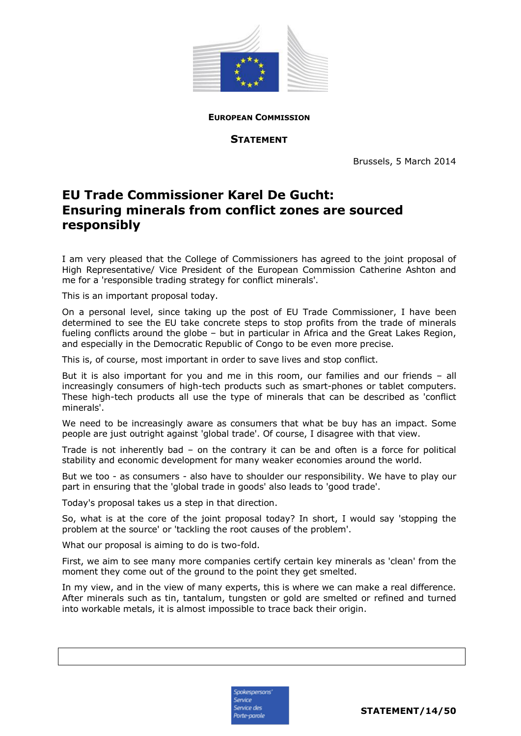

**EUROPEAN COMMISSION**

**STATEMENT**

Brussels, 5 March 2014

## **EU Trade Commissioner Karel De Gucht: Ensuring minerals from conflict zones are sourced responsibly**

I am very pleased that the College of Commissioners has agreed to the joint proposal of High Representative/ Vice President of the European Commission Catherine Ashton and me for a 'responsible trading strategy for conflict minerals'.

This is an important proposal today.

On a personal level, since taking up the post of EU Trade Commissioner, I have been determined to see the EU take concrete steps to stop profits from the trade of minerals fueling conflicts around the globe – but in particular in Africa and the Great Lakes Region, and especially in the Democratic Republic of Congo to be even more precise.

This is, of course, most important in order to save lives and stop conflict.

But it is also important for you and me in this room, our families and our friends – all increasingly consumers of high-tech products such as smart-phones or tablet computers. These high-tech products all use the type of minerals that can be described as 'conflict minerals'.

We need to be increasingly aware as consumers that what be buy has an impact. Some people are just outright against 'global trade'. Of course, I disagree with that view.

Trade is not inherently bad – on the contrary it can be and often is a force for political stability and economic development for many weaker economies around the world.

But we too - as consumers - also have to shoulder our responsibility. We have to play our part in ensuring that the 'global trade in goods' also leads to 'good trade'.

Today's proposal takes us a step in that direction.

So, what is at the core of the joint proposal today? In short, I would say 'stopping the problem at the source' or 'tackling the root causes of the problem'.

What our proposal is aiming to do is two-fold.

First, we aim to see many more companies certify certain key minerals as 'clean' from the moment they come out of the ground to the point they get smelted.

In my view, and in the view of many experts, this is where we can make a real difference. After minerals such as tin, tantalum, tungsten or gold are smelted or refined and turned into workable metals, it is almost impossible to trace back their origin.

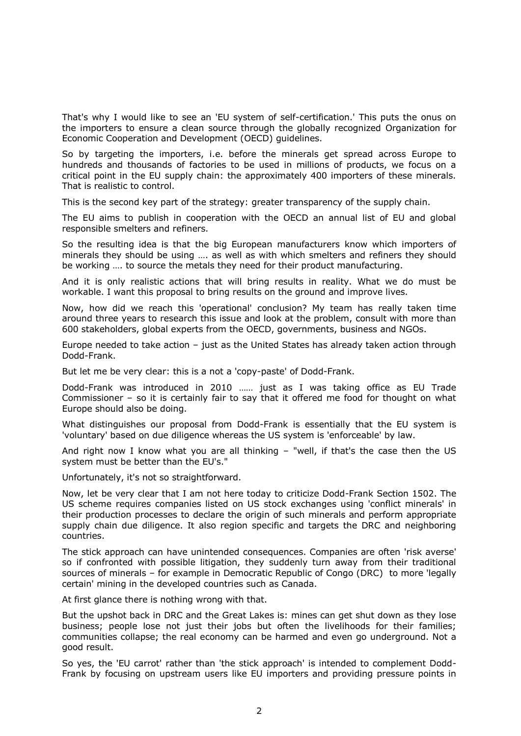That's why I would like to see an 'EU system of self-certification.' This puts the onus on the importers to ensure a clean source through the globally recognized Organization for Economic Cooperation and Development (OECD) guidelines.

So by targeting the importers, i.e. before the minerals get spread across Europe to hundreds and thousands of factories to be used in millions of products, we focus on a critical point in the EU supply chain: the approximately 400 importers of these minerals. That is realistic to control.

This is the second key part of the strategy: greater transparency of the supply chain.

The EU aims to publish in cooperation with the OECD an annual list of EU and global responsible smelters and refiners.

So the resulting idea is that the big European manufacturers know which importers of minerals they should be using …. as well as with which smelters and refiners they should be working …. to source the metals they need for their product manufacturing.

And it is only realistic actions that will bring results in reality. What we do must be workable. I want this proposal to bring results on the ground and improve lives.

Now, how did we reach this 'operational' conclusion? My team has really taken time around three years to research this issue and look at the problem, consult with more than 600 stakeholders, global experts from the OECD, governments, business and NGOs.

Europe needed to take action – just as the United States has already taken action through Dodd-Frank.

But let me be very clear: this is a not a 'copy-paste' of Dodd-Frank.

Dodd-Frank was introduced in 2010 …… just as I was taking office as EU Trade Commissioner – so it is certainly fair to say that it offered me food for thought on what Europe should also be doing.

What distinguishes our proposal from Dodd-Frank is essentially that the EU system is 'voluntary' based on due diligence whereas the US system is 'enforceable' by law.

And right now I know what you are all thinking – "well, if that's the case then the US system must be better than the EU's."

Unfortunately, it's not so straightforward.

Now, let be very clear that I am not here today to criticize Dodd-Frank Section 1502. The US scheme requires companies listed on US stock exchanges using 'conflict minerals' in their production processes to declare the origin of such minerals and perform appropriate supply chain due diligence. It also region specific and targets the DRC and neighboring countries.

The stick approach can have unintended consequences. Companies are often 'risk averse' so if confronted with possible litigation, they suddenly turn away from their traditional sources of minerals – for example in Democratic Republic of Congo (DRC) to more 'legally certain' mining in the developed countries such as Canada.

At first glance there is nothing wrong with that.

But the upshot back in DRC and the Great Lakes is: mines can get shut down as they lose business; people lose not just their jobs but often the livelihoods for their families; communities collapse; the real economy can be harmed and even go underground. Not a good result.

So yes, the 'EU carrot' rather than 'the stick approach' is intended to complement Dodd-Frank by focusing on upstream users like EU importers and providing pressure points in